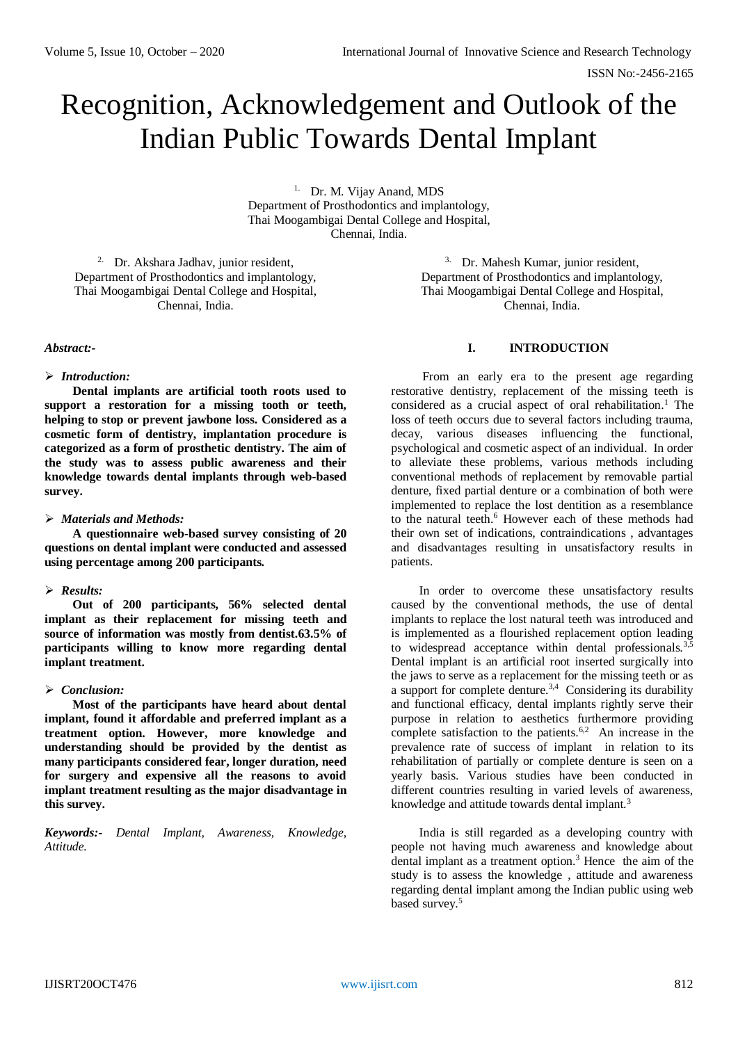# Recognition, Acknowledgement and Outlook of the Indian Public Towards Dental Implant

1. Dr. M. Vijay Anand, MDS Department of Prosthodontics and implantology, Thai Moogambigai Dental College and Hospital, Chennai, India.

2. Dr. Akshara Jadhav, junior resident, Department of Prosthodontics and implantology, Thai Moogambigai Dental College and Hospital, Chennai, India.

#### *Abstract:-*

#### *Introduction:*

**Dental implants are artificial tooth roots used to support a restoration for a missing tooth or teeth, helping to stop or prevent jawbone loss. Considered as a cosmetic form of dentistry, implantation procedure is categorized as a form of prosthetic dentistry. The aim of the study was to assess public awareness and their knowledge towards dental implants through web-based survey.**

#### *Materials and Methods:*

**A questionnaire web-based survey consisting of 20 questions on dental implant were conducted and assessed using percentage among 200 participants.**

# *Results:*

**Out of 200 participants, 56% selected dental implant as their replacement for missing teeth and source of information was mostly from dentist.63.5% of participants willing to know more regarding dental implant treatment.**

# *Conclusion:*

**Most of the participants have heard about dental implant, found it affordable and preferred implant as a treatment option. However, more knowledge and understanding should be provided by the dentist as many participants considered fear, longer duration, need for surgery and expensive all the reasons to avoid implant treatment resulting as the major disadvantage in this survey.**

*Keywords:- Dental Implant, Awareness, Knowledge, Attitude.*

3. Dr. Mahesh Kumar, junior resident, Department of Prosthodontics and implantology, Thai Moogambigai Dental College and Hospital, Chennai, India.

#### **I. INTRODUCTION**

From an early era to the present age regarding restorative dentistry, replacement of the missing teeth is considered as a crucial aspect of oral rehabilitation.<sup>1</sup> The loss of teeth occurs due to several factors including trauma, decay, various diseases influencing the functional, psychological and cosmetic aspect of an individual. In order to alleviate these problems, various methods including conventional methods of replacement by removable partial denture, fixed partial denture or a combination of both were implemented to replace the lost dentition as a resemblance to the natural teeth.<sup>6</sup> However each of these methods had their own set of indications, contraindications , advantages and disadvantages resulting in unsatisfactory results in patients.

In order to overcome these unsatisfactory results caused by the conventional methods, the use of dental implants to replace the lost natural teeth was introduced and is implemented as a flourished replacement option leading to widespread acceptance within dental professionals.<sup>3,5</sup> Dental implant is an artificial root inserted surgically into the jaws to serve as a replacement for the missing teeth or as a support for complete denture. $3,4$  Considering its durability and functional efficacy, dental implants rightly serve their purpose in relation to aesthetics furthermore providing complete satisfaction to the patients.<sup>6,2</sup> An increase in the prevalence rate of success of implant in relation to its rehabilitation of partially or complete denture is seen on a yearly basis. Various studies have been conducted in different countries resulting in varied levels of awareness, knowledge and attitude towards dental implant.<sup>3</sup>

India is still regarded as a developing country with people not having much awareness and knowledge about dental implant as a treatment option.<sup>3</sup> Hence the aim of the study is to assess the knowledge , attitude and awareness regarding dental implant among the Indian public using web based survey.5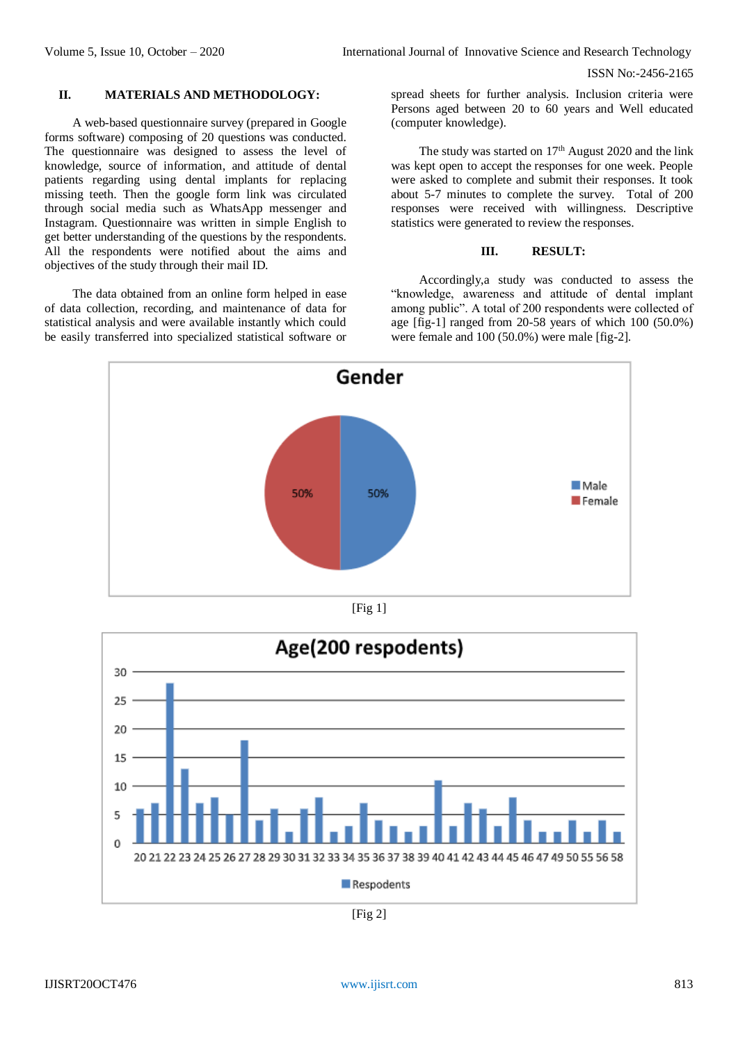#### **II. MATERIALS AND METHODOLOGY:**

A web-based questionnaire survey (prepared in Google forms software) composing of 20 questions was conducted. The questionnaire was designed to assess the level of knowledge, source of information, and attitude of dental patients regarding using dental implants for replacing missing teeth. Then the google form link was circulated through social media such as WhatsApp messenger and Instagram. Questionnaire was written in simple English to get better understanding of the questions by the respondents. All the respondents were notified about the aims and objectives of the study through their mail ID.

The data obtained from an online form helped in ease of data collection, recording, and maintenance of data for statistical analysis and were available instantly which could be easily transferred into specialized statistical software or

spread sheets for further analysis. Inclusion criteria were Persons aged between 20 to 60 years and Well educated (computer knowledge).

The study was started on  $17<sup>th</sup>$  August 2020 and the link was kept open to accept the responses for one week. People were asked to complete and submit their responses. It took about 5-7 minutes to complete the survey. Total of 200 responses were received with willingness. Descriptive statistics were generated to review the responses.

# **III. RESULT:**

Accordingly,a study was conducted to assess the "knowledge, awareness and attitude of dental implant among public". A total of 200 respondents were collected of age [fig-1] ranged from 20-58 years of which 100 (50.0%) were female and 100 (50.0%) were male [fig-2].



 $[Fig 1]$ 



[Fig 2]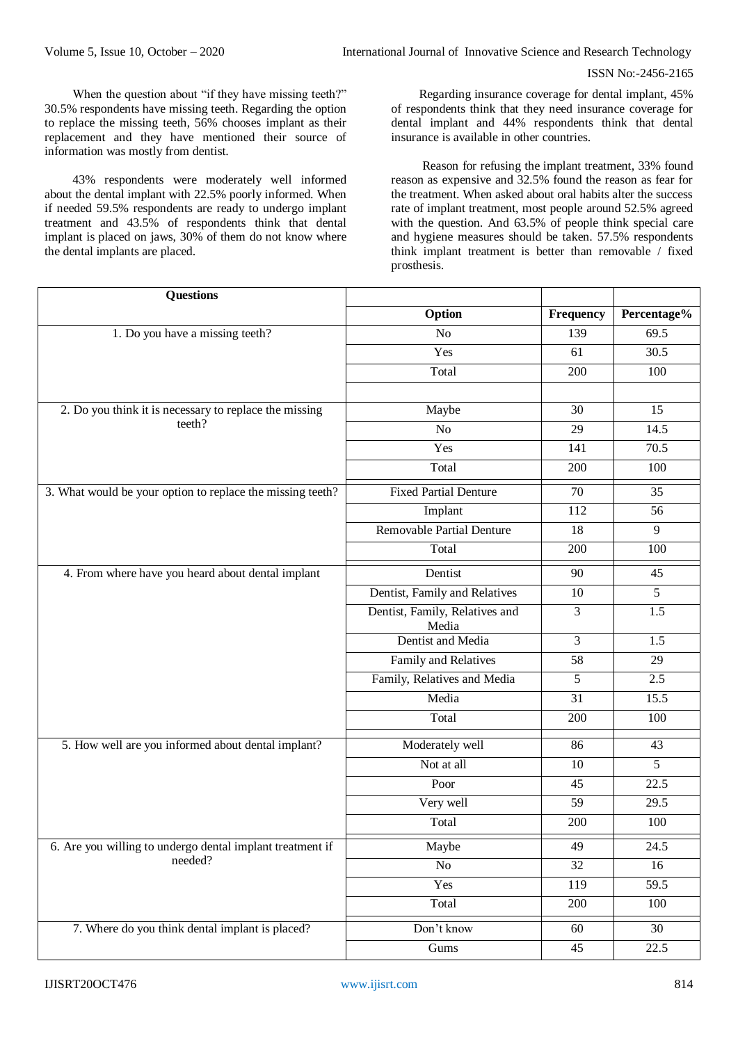When the question about "if they have missing teeth?" 30.5% respondents have missing teeth. Regarding the option to replace the missing teeth, 56% chooses implant as their replacement and they have mentioned their source of information was mostly from dentist.

43% respondents were moderately well informed about the dental implant with 22.5% poorly informed. When if needed 59.5% respondents are ready to undergo implant treatment and 43.5% of respondents think that dental implant is placed on jaws, 30% of them do not know where the dental implants are placed.

Regarding insurance coverage for dental implant, 45% of respondents think that they need insurance coverage for dental implant and 44% respondents think that dental insurance is available in other countries.

Reason for refusing the implant treatment, 33% found reason as expensive and 32.5% found the reason as fear for the treatment. When asked about oral habits alter the success rate of implant treatment, most people around 52.5% agreed with the question. And 63.5% of people think special care and hygiene measures should be taken. 57.5% respondents think implant treatment is better than removable / fixed prosthesis.

| <b>Questions</b>                                                 |                                         |                |                |
|------------------------------------------------------------------|-----------------------------------------|----------------|----------------|
|                                                                  | Option                                  | Frequency      | Percentage%    |
| 1. Do you have a missing teeth?                                  | N <sub>o</sub>                          | 139            | 69.5           |
|                                                                  | Yes                                     | 61             | 30.5           |
|                                                                  | Total                                   | 200            | 100            |
|                                                                  |                                         |                |                |
| 2. Do you think it is necessary to replace the missing<br>teeth? | Maybe                                   | 30             | 15             |
|                                                                  | No                                      | 29             | 14.5           |
|                                                                  | Yes                                     | 141            | 70.5           |
|                                                                  | Total                                   | 200            | 100            |
| 3. What would be your option to replace the missing teeth?       | <b>Fixed Partial Denture</b>            | 70             | 35             |
|                                                                  | Implant                                 | 112            | 56             |
|                                                                  | <b>Removable Partial Denture</b>        | 18             | 9              |
|                                                                  | Total                                   | 200            | 100            |
| 4. From where have you heard about dental implant                | Dentist                                 | 90             | 45             |
|                                                                  | Dentist, Family and Relatives           | 10             | 5              |
|                                                                  | Dentist, Family, Relatives and<br>Media | $\overline{3}$ | 1.5            |
|                                                                  | Dentist and Media                       | 3              | 1.5            |
|                                                                  | Family and Relatives                    | 58             | 29             |
|                                                                  | Family, Relatives and Media             | 5              | 2.5            |
|                                                                  | Media                                   | 31             | 15.5           |
|                                                                  | Total                                   | 200            | 100            |
| 5. How well are you informed about dental implant?               | Moderately well                         | 86             | 43             |
|                                                                  | Not at all                              | 10             | $\overline{5}$ |
|                                                                  | Poor                                    | 45             | 22.5           |
|                                                                  | Very well                               | 59             | 29.5           |
|                                                                  | Total                                   | 200            | 100            |
| 6. Are you willing to undergo dental implant treatment if        | Maybe                                   | 49             | 24.5           |
| needed?                                                          | No                                      | 32             | 16             |
|                                                                  | Yes                                     | 119            | 59.5           |
|                                                                  | Total                                   | 200            | 100            |
| 7. Where do you think dental implant is placed?                  | Don't know                              | 60             | 30             |
|                                                                  | Gums                                    | 45             | 22.5           |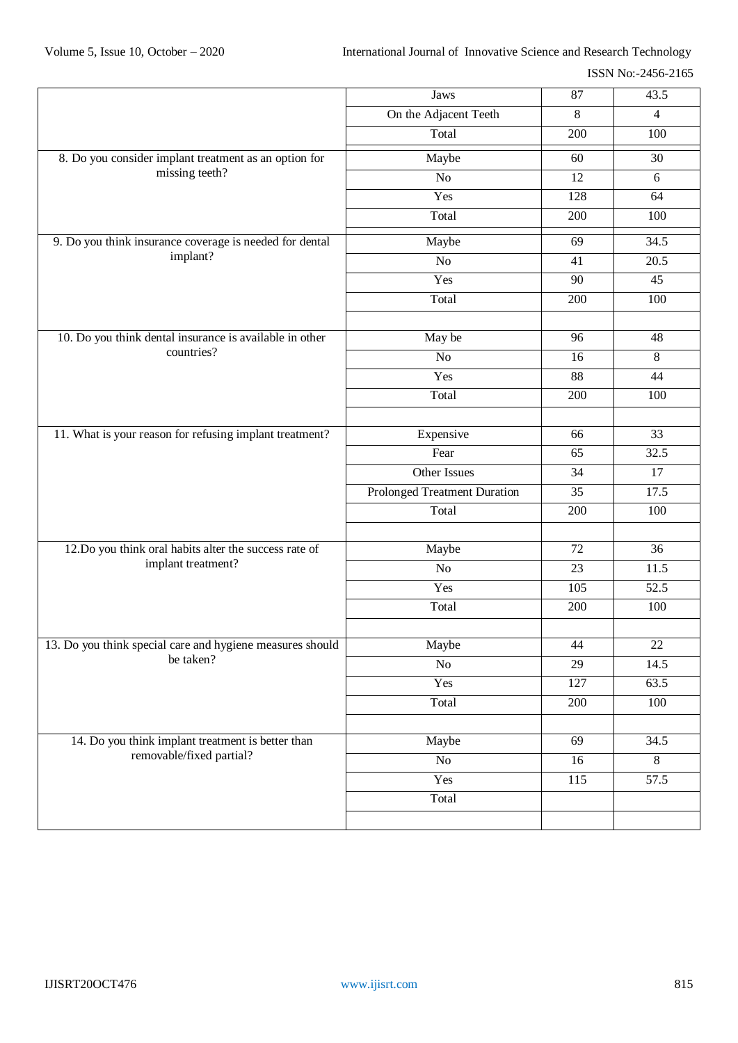ISSN No:-2456-2165

|                                                                               | Jaws                         | 87              | 43.5              |
|-------------------------------------------------------------------------------|------------------------------|-----------------|-------------------|
|                                                                               | On the Adjacent Teeth        | 8               | $\overline{4}$    |
|                                                                               | Total                        | 200             | 100               |
| 8. Do you consider implant treatment as an option for<br>missing teeth?       | Maybe                        | 60              | 30                |
|                                                                               | No                           | 12              | 6                 |
|                                                                               | Yes                          | 128             | 64                |
|                                                                               | Total                        | 200             | 100               |
| 9. Do you think insurance coverage is needed for dental                       | Maybe                        | 69              | 34.5              |
| implant?                                                                      | No                           | 41              | $\overline{20.5}$ |
|                                                                               | Yes                          | 90              | 45                |
|                                                                               | Total                        | 200             | 100               |
|                                                                               |                              |                 |                   |
| 10. Do you think dental insurance is available in other<br>countries?         | May be                       | 96              | 48                |
|                                                                               | N <sub>o</sub>               | 16              | 8                 |
|                                                                               | Yes                          | 88              | 44                |
|                                                                               | Total                        | 200             | 100               |
|                                                                               |                              |                 |                   |
| 11. What is your reason for refusing implant treatment?                       | Expensive                    | 66              | 33                |
|                                                                               | Fear                         | 65              | 32.5              |
|                                                                               | Other Issues                 | 34              | 17                |
|                                                                               | Prolonged Treatment Duration | $\overline{35}$ | 17.5              |
|                                                                               | Total                        | 200             | 100               |
|                                                                               |                              |                 |                   |
| 12.Do you think oral habits alter the success rate of<br>implant treatment?   | Maybe                        | 72              | 36                |
|                                                                               | No                           | 23              | 11.5              |
|                                                                               | Yes                          | 105             | $\overline{52.5}$ |
|                                                                               | Total                        | 200             | 100               |
|                                                                               |                              |                 |                   |
| 13. Do you think special care and hygiene measures should<br>be taken?        | Maybe                        | 44              | 22                |
|                                                                               | $\rm No$                     | 29              | 14.5              |
|                                                                               | Yes                          | 127             | 63.5              |
|                                                                               | Total                        | 200             | 100               |
|                                                                               |                              |                 |                   |
| 14. Do you think implant treatment is better than<br>removable/fixed partial? | Maybe                        | 69              | 34.5              |
|                                                                               | No                           | 16              | 8                 |
|                                                                               | Yes                          | 115             | $\overline{57.5}$ |
|                                                                               | Total                        |                 |                   |
|                                                                               |                              |                 |                   |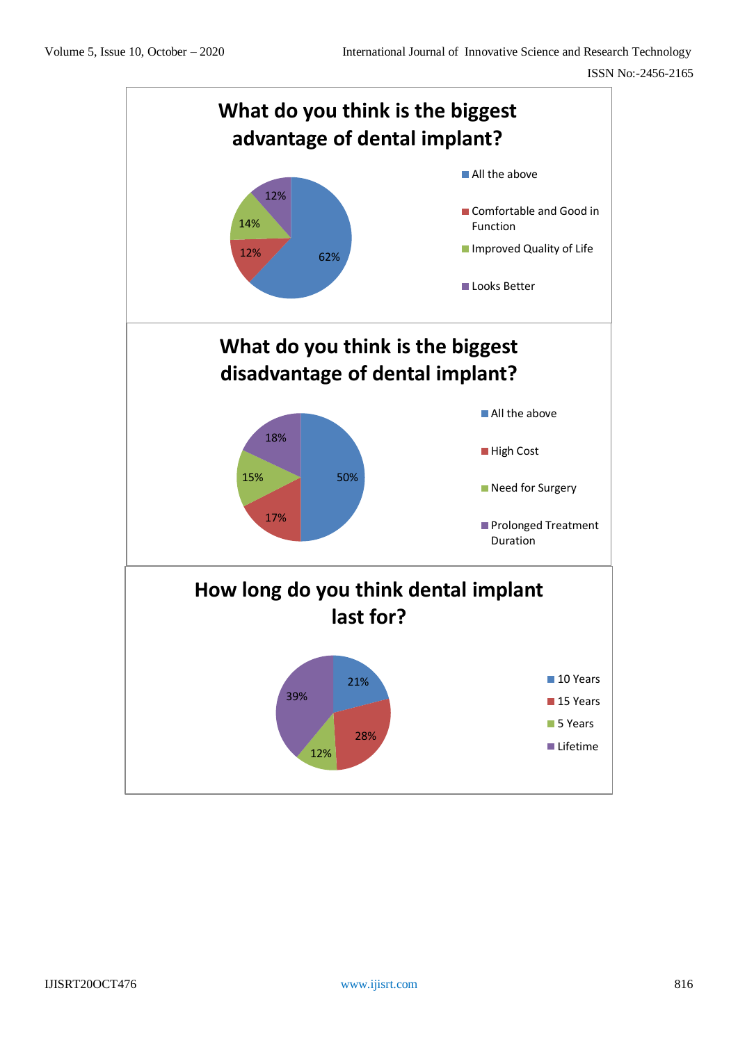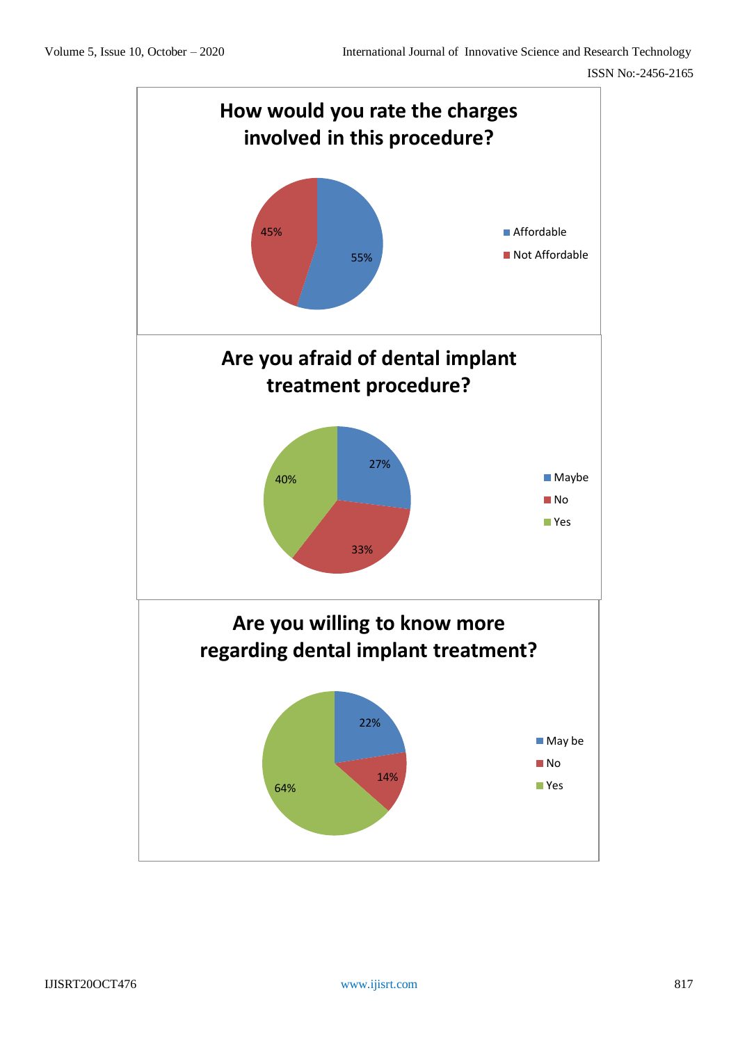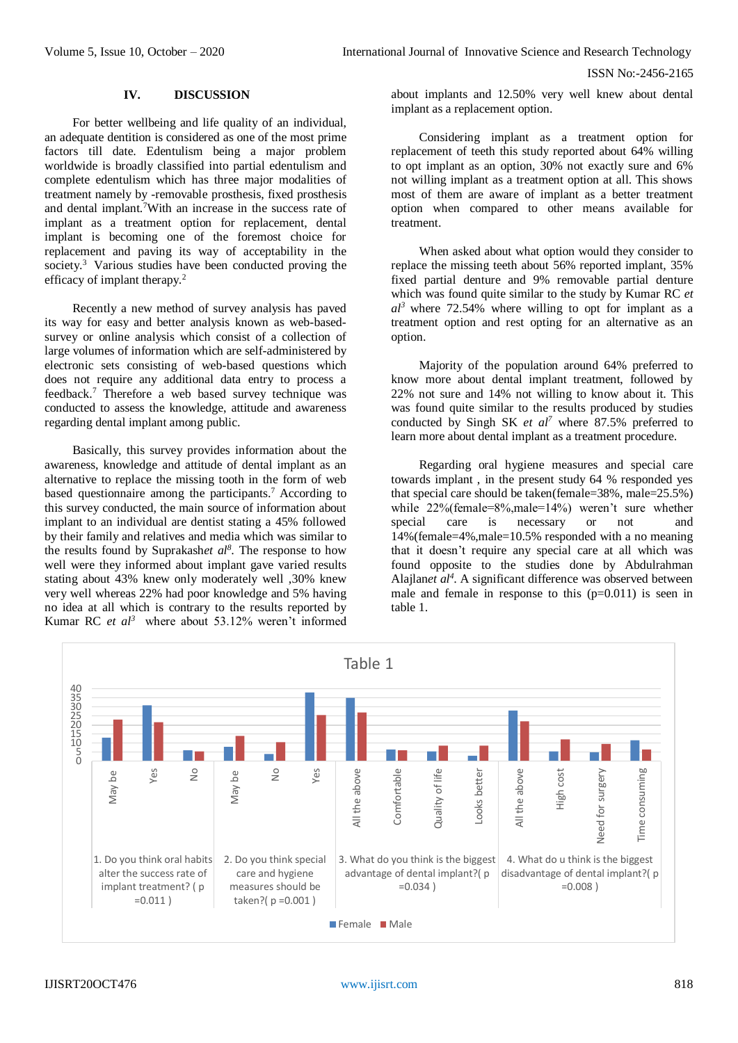### **IV. DISCUSSION**

For better wellbeing and life quality of an individual, an adequate dentition is considered as one of the most prime factors till date. Edentulism being a major problem worldwide is broadly classified into partial edentulism and complete edentulism which has three major modalities of treatment namely by -removable prosthesis, fixed prosthesis and dental implant.<sup>7</sup>With an increase in the success rate of implant as a treatment option for replacement, dental implant is becoming one of the foremost choice for replacement and paving its way of acceptability in the society.<sup>3</sup> Various studies have been conducted proving the efficacy of implant therapy.<sup>2</sup>

Recently a new method of survey analysis has paved its way for easy and better analysis known as web-basedsurvey or online analysis which consist of a collection of large volumes of information which are self-administered by electronic sets consisting of web-based questions which does not require any additional data entry to process a feedback.<sup>7</sup> Therefore a web based survey technique was conducted to assess the knowledge, attitude and awareness regarding dental implant among public.

Basically, this survey provides information about the awareness, knowledge and attitude of dental implant as an alternative to replace the missing tooth in the form of web based questionnaire among the participants.<sup>7</sup> According to this survey conducted, the main source of information about implant to an individual are dentist stating a 45% followed by their family and relatives and media which was similar to the results found by Suprakash*et al<sup>8</sup>* . The response to how well were they informed about implant gave varied results stating about 43% knew only moderately well ,30% knew very well whereas 22% had poor knowledge and 5% having no idea at all which is contrary to the results reported by Kumar RC *et al<sup>3</sup>* where about 53.12% weren't informed

about implants and 12.50% very well knew about dental implant as a replacement option.

Considering implant as a treatment option for replacement of teeth this study reported about 64% willing to opt implant as an option, 30% not exactly sure and 6% not willing implant as a treatment option at all. This shows most of them are aware of implant as a better treatment option when compared to other means available for treatment.

When asked about what option would they consider to replace the missing teeth about 56% reported implant, 35% fixed partial denture and 9% removable partial denture which was found quite similar to the study by Kumar RC *et*   $al^3$  where 72.54% where willing to opt for implant as a treatment option and rest opting for an alternative as an option.

Majority of the population around 64% preferred to know more about dental implant treatment, followed by 22% not sure and 14% not willing to know about it. This was found quite similar to the results produced by studies conducted by Singh SK *et al<sup>7</sup>* where 87.5% preferred to learn more about dental implant as a treatment procedure.

Regarding oral hygiene measures and special care towards implant , in the present study 64 % responded yes that special care should be taken(female=38%, male=25.5%) while 22%(female=8%,male=14%) weren't sure whether special care is necessary or not and 14%(female=4%,male=10.5% responded with a no meaning that it doesn't require any special care at all which was found opposite to the studies done by Abdulrahman Alajlan*et al<sup>4</sup>* . A significant difference was observed between male and female in response to this  $(p=0.011)$  is seen in table 1.

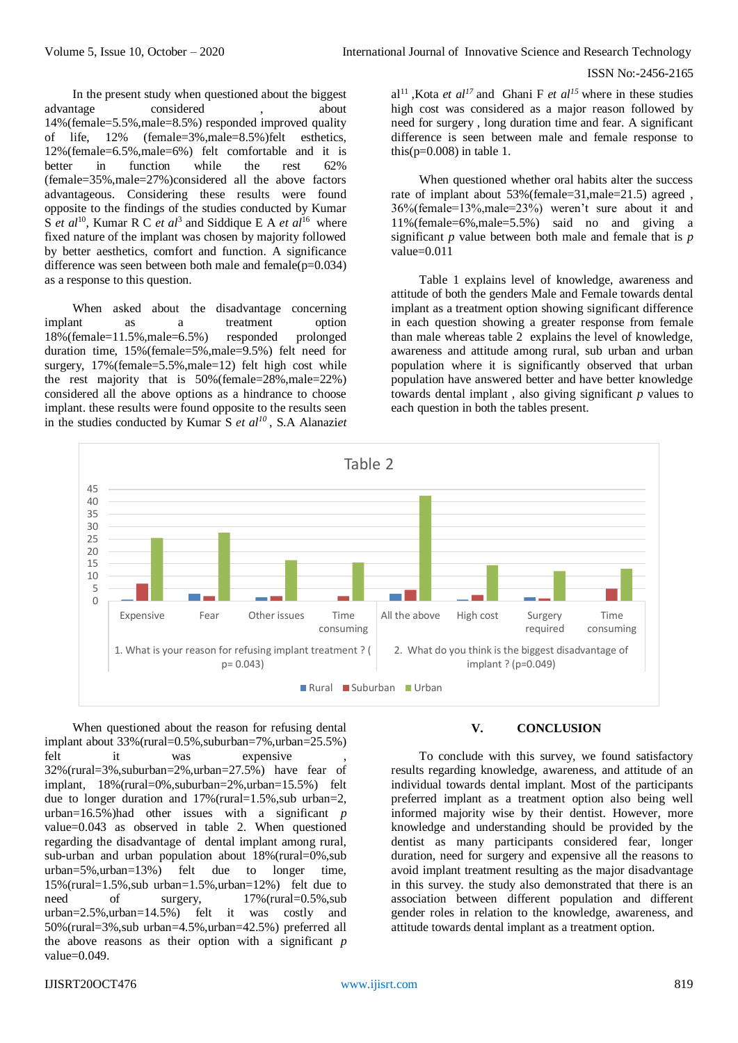In the present study when questioned about the biggest advantage considered , about 14%(female=5.5%,male=8.5%) responded improved quality of life, 12% (female=3%,male=8.5%)felt esthetics, 12%(female=6.5%,male=6%) felt comfortable and it is better in function while the rest 62% (female=35%,male=27%)considered all the above factors advantageous. Considering these results were found opposite to the findings of the studies conducted by Kumar S *et al*<sup>10</sup>, Kumar R C *et al*<sup>3</sup> and Siddique E A *et al*<sup>16</sup> where fixed nature of the implant was chosen by majority followed by better aesthetics, comfort and function. A significance difference was seen between both male and female( $p=0.034$ ) as a response to this question.

When asked about the disadvantage concerning implant as a treatment option 18%(female=11.5%,male=6.5%) responded prolonged duration time, 15%(female=5%,male=9.5%) felt need for surgery, 17%(female=5.5%,male=12) felt high cost while the rest majority that is 50%(female=28%,male=22%) considered all the above options as a hindrance to choose implant. these results were found opposite to the results seen in the studies conducted by Kumar S *et al<sup>10</sup>*, S.A Alanazi*et*  al<sup>11</sup>. Kota *et al*<sup>17</sup> and Ghani F *et al*<sup>15</sup> where in these studies high cost was considered as a major reason followed by need for surgery , long duration time and fear. A significant difference is seen between male and female response to this( $p=0.008$ ) in table 1.

When questioned whether oral habits alter the success rate of implant about 53%(female=31,male=21.5) agreed , 36%(female=13%,male=23%) weren't sure about it and 11%(female=6%,male=5.5%) said no and giving a significant *p* value between both male and female that is *p* value=0.011

Table 1 explains level of knowledge, awareness and attitude of both the genders Male and Female towards dental implant as a treatment option showing significant difference in each question showing a greater response from female than male whereas table 2 explains the level of knowledge, awareness and attitude among rural, sub urban and urban population where it is significantly observed that urban population have answered better and have better knowledge towards dental implant , also giving significant *p* values to each question in both the tables present.



When questioned about the reason for refusing dental implant about 33%(rural=0.5%,suburban=7%,urban=25.5%) felt it was expensive 32%(rural=3%,suburban=2%,urban=27.5%) have fear of implant, 18%(rural=0%,suburban=2%,urban=15.5%) felt due to longer duration and 17%(rural=1.5%,sub urban=2, urban=16.5%)had other issues with a significant *p* value=0.043 as observed in table 2. When questioned regarding the disadvantage of dental implant among rural, sub-urban and urban population about 18%(rural=0%,sub urban=5%,urban=13%) felt due to longer time, 15%(rural=1.5%,sub urban=1.5%,urban=12%) felt due to need of surgery,  $17\%$  (rural=0.5%,sub urban=2.5%,urban=14.5%) felt it was costly and 50%(rural=3%,sub urban=4.5%,urban=42.5%) preferred all the above reasons as their option with a significant *p* value=0.049.

# **V. CONCLUSION**

To conclude with this survey, we found satisfactory results regarding knowledge, awareness, and attitude of an individual towards dental implant. Most of the participants preferred implant as a treatment option also being well informed majority wise by their dentist. However, more knowledge and understanding should be provided by the dentist as many participants considered fear, longer duration, need for surgery and expensive all the reasons to avoid implant treatment resulting as the major disadvantage in this survey. the study also demonstrated that there is an association between different population and different gender roles in relation to the knowledge, awareness, and attitude towards dental implant as a treatment option.